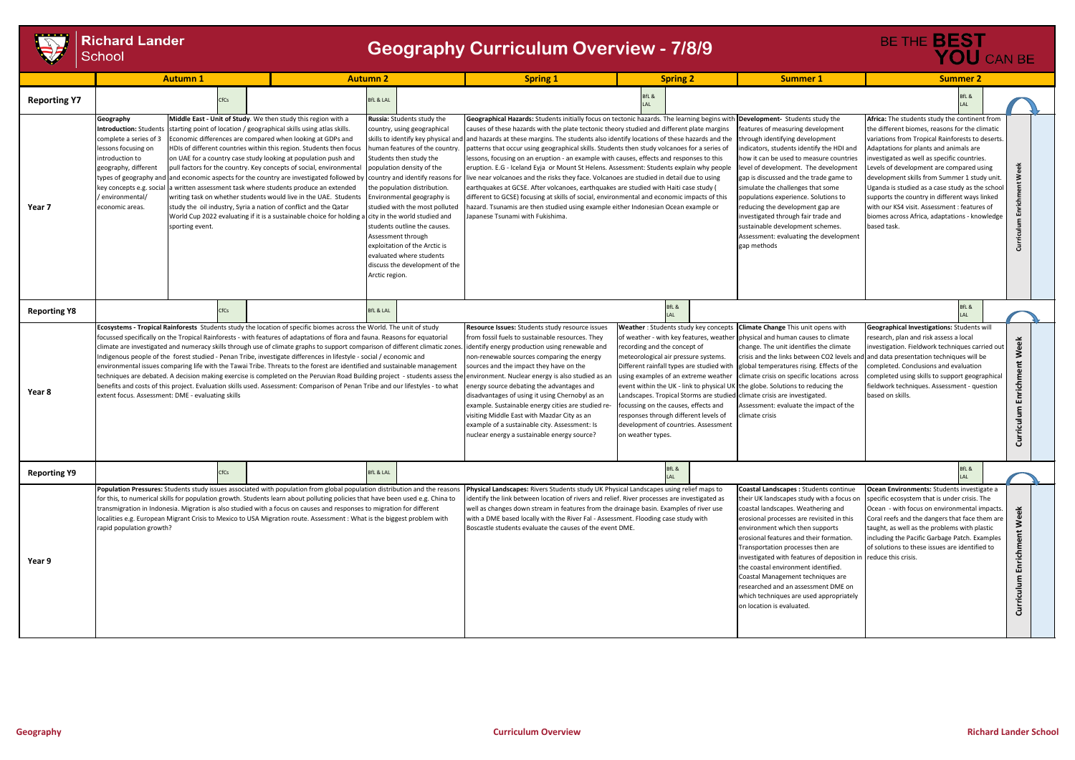|                     | <b>Richard Lander</b><br>School                                                                                                                                                                                           |                 |                                                                                                                                                                                                                                                                                                                                                                                                                                                                                                                                                                                                                                                                                                                                                                                                       |                                                                                                                                                                                                                                                                                                                                                                                                                                                                | <b>Geography Curriculum Overview - 7/8/9</b>                                                                                                                                                                                                                                                                                                                                                                                                                                                                                                                                                                                                                                                                                                                                                                                                                                                                                                                                                                                                                      |                                                                                                                                                                                                                                                                                                         |                                                                                                                                                                                                                                                                                                                                                                                                                                                                                                                                                                           | BE THE <b>BEST</b><br>YOU CAN BE                                                                                                                                                                                                                                                                                                                                                                                                                                                                                                                          |                                           |
|---------------------|---------------------------------------------------------------------------------------------------------------------------------------------------------------------------------------------------------------------------|-----------------|-------------------------------------------------------------------------------------------------------------------------------------------------------------------------------------------------------------------------------------------------------------------------------------------------------------------------------------------------------------------------------------------------------------------------------------------------------------------------------------------------------------------------------------------------------------------------------------------------------------------------------------------------------------------------------------------------------------------------------------------------------------------------------------------------------|----------------------------------------------------------------------------------------------------------------------------------------------------------------------------------------------------------------------------------------------------------------------------------------------------------------------------------------------------------------------------------------------------------------------------------------------------------------|-------------------------------------------------------------------------------------------------------------------------------------------------------------------------------------------------------------------------------------------------------------------------------------------------------------------------------------------------------------------------------------------------------------------------------------------------------------------------------------------------------------------------------------------------------------------------------------------------------------------------------------------------------------------------------------------------------------------------------------------------------------------------------------------------------------------------------------------------------------------------------------------------------------------------------------------------------------------------------------------------------------------------------------------------------------------|---------------------------------------------------------------------------------------------------------------------------------------------------------------------------------------------------------------------------------------------------------------------------------------------------------|---------------------------------------------------------------------------------------------------------------------------------------------------------------------------------------------------------------------------------------------------------------------------------------------------------------------------------------------------------------------------------------------------------------------------------------------------------------------------------------------------------------------------------------------------------------------------|-----------------------------------------------------------------------------------------------------------------------------------------------------------------------------------------------------------------------------------------------------------------------------------------------------------------------------------------------------------------------------------------------------------------------------------------------------------------------------------------------------------------------------------------------------------|-------------------------------------------|
|                     | <b>Autumn 1</b>                                                                                                                                                                                                           |                 |                                                                                                                                                                                                                                                                                                                                                                                                                                                                                                                                                                                                                                                                                                                                                                                                       | <b>Autumn 2</b>                                                                                                                                                                                                                                                                                                                                                                                                                                                | <b>Spring 1</b>                                                                                                                                                                                                                                                                                                                                                                                                                                                                                                                                                                                                                                                                                                                                                                                                                                                                                                                                                                                                                                                   | <b>Spring 2</b>                                                                                                                                                                                                                                                                                         | <b>Summer 1</b>                                                                                                                                                                                                                                                                                                                                                                                                                                                                                                                                                           | <b>Summer 2</b>                                                                                                                                                                                                                                                                                                                                                                                                                                                                                                                                           |                                           |
| <b>Reporting Y7</b> |                                                                                                                                                                                                                           | <b>CfCs</b>     |                                                                                                                                                                                                                                                                                                                                                                                                                                                                                                                                                                                                                                                                                                                                                                                                       | <b>BfL &amp; LAL</b>                                                                                                                                                                                                                                                                                                                                                                                                                                           |                                                                                                                                                                                                                                                                                                                                                                                                                                                                                                                                                                                                                                                                                                                                                                                                                                                                                                                                                                                                                                                                   | 3fL &                                                                                                                                                                                                                                                                                                   |                                                                                                                                                                                                                                                                                                                                                                                                                                                                                                                                                                           | BfL &                                                                                                                                                                                                                                                                                                                                                                                                                                                                                                                                                     |                                           |
| Year 7              | Geography<br>Introduction: Student<br>complete a series of 3<br>lessons focusing on<br>introduction to<br>geography, different<br>types of geography and<br>key concepts e.g. social<br>environmental/<br>economic areas. | sporting event. | Middle East - Unit of Study. We then study this region with a<br>starting point of location / geographical skills using atlas skills.<br>Economic differences are compared when looking at GDPs and<br>HDIs of different countries within this region. Students then focus<br>on UAE for a country case study looking at population push and<br>pull factors for the country. Key concepts of social, environmental<br>and economic aspects for the country are investigated followed by<br>written assessment task where students produce an extended<br>writing task on whether students would live in the UAE. Students<br>study the oil industry, Syria a nation of conflict and the Qatar<br>World Cup 2022 evaluating if it is a sustainable choice for holding a city in the world studied and | Russia: Students study the<br>country, using geographical<br>human features of the country.<br>Students then study the<br>population density of the<br>country and identify reasons for<br>the population distribution.<br>Environmental geography is<br>studied with the most polluted<br>students outline the causes.<br>Assessment through<br>exploitation of the Arctic is<br>evaluated where students<br>discuss the development of the<br>Arctic region. | Geographical Hazards: Students initially focus on tectonic hazards. The learning begins with Development- Students study the<br>causes of these hazards with the plate tectonic theory studied and different plate margins<br>skills to identify key physical and and hazards at these margins. The students also identify locations of these hazards and the<br>patterns that occur using geographical skills. Students then study volcanoes for a series of<br>lessons, focusing on an eruption - an example with causes, effects and responses to this<br>eruption. E.G - Iceland Eyja or Mount St Helens. Assessment: Students explain why people<br>ive near volcanoes and the risks they face. Volcanoes are studied in detail due to using<br>earthquakes at GCSE. After volcanoes, earthquakes are studied with Haiti case study (<br>different to GCSE) focusing at skills of social, environmental and economic impacts of this<br>azard. Tsunamis are then studied using example either Indonesian Ocean example or<br>apanese Tsunami with Fukishima. |                                                                                                                                                                                                                                                                                                         | eatures of measuring development<br>through identifying development<br>ndicators, students identify the HDI and<br>how it can be used to measure countries<br>level of development. The development<br>gap is discussed and the trade game to<br>simulate the challenges that some<br>populations experience. Solutions to<br>reducing the development gap are<br>investigated through fair trade and<br>sustainable development schemes.<br>Assessment: evaluating the development<br>gap methods                                                                        | Africa: The students study the continent from<br>the different biomes, reasons for the climatic<br>variations from Tropical Rainforests to deserts.<br>Adaptations for plants and animals are<br>nvestigated as well as specific countries.<br>Levels of development are compared using<br>development skills from Summer 1 study unit<br>Uganda is studied as a case study as the school<br>supports the country in different ways linked<br>with our KS4 visit. Assessment: features of<br>biomes across Africa, adaptations - knowledge<br>based task. |                                           |
| <b>Reporting Y8</b> |                                                                                                                                                                                                                           | CfCs            |                                                                                                                                                                                                                                                                                                                                                                                                                                                                                                                                                                                                                                                                                                                                                                                                       | <b>BfL &amp; LAL</b>                                                                                                                                                                                                                                                                                                                                                                                                                                           |                                                                                                                                                                                                                                                                                                                                                                                                                                                                                                                                                                                                                                                                                                                                                                                                                                                                                                                                                                                                                                                                   | sfL &                                                                                                                                                                                                                                                                                                   |                                                                                                                                                                                                                                                                                                                                                                                                                                                                                                                                                                           | 3fL &                                                                                                                                                                                                                                                                                                                                                                                                                                                                                                                                                     |                                           |
| Year 8              | extent focus. Assessment: DME - evaluating skills                                                                                                                                                                         |                 | Ecosystems - Tropical Rainforests Students study the location of specific biomes across the World. The unit of study<br>focussed specifically on the Tropical Rainforests - with features of adaptations of flora and fauna. Reasons for equatorial<br>climate are investigated and numeracy skills through use of climate graphs to support comparison of different climatic zones.<br>Indigenous people of the forest studied - Penan Tribe, investigate differences in lifestyle - social / economic and<br>environmental issues comparing life with the Tawai Tribe. Threats to the forest are identified and sustainable management<br>benefits and costs of this project. Evaluation skills used. Assessment: Comparison of Penan Tribe and our lifestyles - to what                            |                                                                                                                                                                                                                                                                                                                                                                                                                                                                | Resource Issues: Students study resource issues<br>from fossil fuels to sustainable resources. They<br>identify energy production using renewable and<br>non-renewable sources comparing the energy<br>sources and the impact they have on the<br>techniques are debated. A decision making exercise is completed on the Peruvian Road Building project - students assess the environment. Nuclear energy is also studied as an<br>energy source debating the advantages and<br>disadvantages of using it using Chernobyl as an<br>example. Sustainable energy cities are studied re-<br>visiting Middle East with Mazdar City as an<br>example of a sustainable city. Assessment: Is<br>nuclear energy a sustainable energy source?                                                                                                                                                                                                                                                                                                                              | recording and the concept of<br>meteorological air pressure systems.<br>Different rainfall types are studied with<br>using examples of an extreme weather<br>focussing on the causes, effects and<br>responses through different levels of<br>development of countries. Assessment<br>on weather types. | Weather: Students study key concepts Climate Change This unit opens with<br>of weather - with key features, weather physical and human causes to climate<br>change. The unit identifies the climate<br>crisis and the links between CO2 levels and<br>global temperatures rising. Effects of the<br>climate crisis on specific locations across<br>event within the UK - link to physical UK the globe. Solutions to reducing the<br>Landscapes. Tropical Storms are studied climate crisis are investigated.<br>Assessment: evaluate the impact of the<br>climate crisis | Geographical Investigations: Students will<br>research, plan and risk assess a local<br>nvestigation. Fieldwork techniques carried out<br>and data presentation techniques will be<br>completed. Conclusions and evaluation<br>completed using skills to support geographical<br>fieldwork techniques. Assessment - question<br>based on skills.                                                                                                                                                                                                          | Š<br>$\ddot{a}$<br>Enrichr<br>Curr        |
| <b>Reporting Y9</b> |                                                                                                                                                                                                                           | CfCs            |                                                                                                                                                                                                                                                                                                                                                                                                                                                                                                                                                                                                                                                                                                                                                                                                       | <b>BfL &amp; LAL</b>                                                                                                                                                                                                                                                                                                                                                                                                                                           |                                                                                                                                                                                                                                                                                                                                                                                                                                                                                                                                                                                                                                                                                                                                                                                                                                                                                                                                                                                                                                                                   | BfL &                                                                                                                                                                                                                                                                                                   |                                                                                                                                                                                                                                                                                                                                                                                                                                                                                                                                                                           | BfL &                                                                                                                                                                                                                                                                                                                                                                                                                                                                                                                                                     |                                           |
| Year 9              | rapid population growth?                                                                                                                                                                                                  |                 | Population Pressures: Students study issues associated with population from global population distribution and the reasons<br>for this, to numerical skills for population growth. Students learn about polluting policies that have been used e.g. China to<br>transmigration in Indonesia. Migration is also studied with a focus on causes and responses to migration for different<br>localities e.g. European Migrant Crisis to Mexico to USA Migration route. Assessment : What is the biggest problem with                                                                                                                                                                                                                                                                                     |                                                                                                                                                                                                                                                                                                                                                                                                                                                                | Physical Landscapes: Rivers Students study UK Physical Landscapes using relief maps to<br>identify the link between location of rivers and relief. River processes are investigated as<br>well as changes down stream in features from the drainage basin. Examples of river use<br>with a DME based locally with the River Fal - Assessment. Flooding case study with<br>Boscastle students evaluate the causes of the event DME.                                                                                                                                                                                                                                                                                                                                                                                                                                                                                                                                                                                                                                |                                                                                                                                                                                                                                                                                                         | Coastal Landscapes : Students continue<br>their UK landscapes study with a focus on<br>coastal landscapes. Weathering and<br>erosional processes are revisited in this<br>environment which then supports<br>erosional features and their formation.<br>Transportation processes then are<br>investigated with features of deposition in reduce this crisis.<br>the coastal environment identified.<br>Coastal Management techniques are<br>researched and an assessment DME on<br>which techniques are used appropriately<br>on location is evaluated.                   | Ocean Environments: Students investigate a<br>specific ecosystem that is under crisis. The<br>Ocean - with focus on environmental impacts.<br>Coral reefs and the dangers that face them are<br>taught, as well as the problems with plastic<br>including the Pacific Garbage Patch. Examples<br>of solutions to these issues are identified to                                                                                                                                                                                                           | る<br><b>Ne</b><br>Enrichm<br>riculum<br>Ğ |